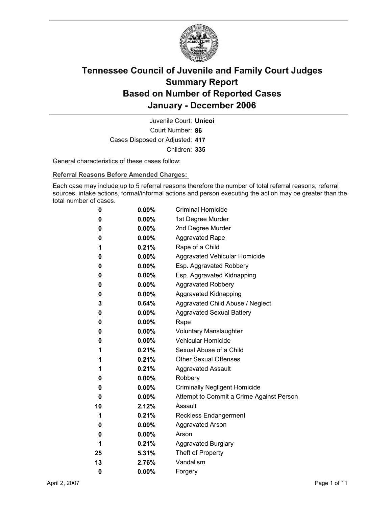

Court Number: **86** Juvenile Court: **Unicoi** Cases Disposed or Adjusted: **417** Children: **335**

General characteristics of these cases follow:

**Referral Reasons Before Amended Charges:** 

Each case may include up to 5 referral reasons therefore the number of total referral reasons, referral sources, intake actions, formal/informal actions and person executing the action may be greater than the total number of cases.

| 0  | $0.00\%$ | <b>Criminal Homicide</b>                 |
|----|----------|------------------------------------------|
| 0  | $0.00\%$ | 1st Degree Murder                        |
| 0  | $0.00\%$ | 2nd Degree Murder                        |
| 0  | $0.00\%$ | <b>Aggravated Rape</b>                   |
| 1  | 0.21%    | Rape of a Child                          |
| 0  | $0.00\%$ | Aggravated Vehicular Homicide            |
| 0  | $0.00\%$ | Esp. Aggravated Robbery                  |
| 0  | $0.00\%$ | Esp. Aggravated Kidnapping               |
| 0  | $0.00\%$ | <b>Aggravated Robbery</b>                |
| 0  | $0.00\%$ | <b>Aggravated Kidnapping</b>             |
| 3  | $0.64\%$ | Aggravated Child Abuse / Neglect         |
| 0  | $0.00\%$ | <b>Aggravated Sexual Battery</b>         |
| 0  | $0.00\%$ | Rape                                     |
| 0  | $0.00\%$ | <b>Voluntary Manslaughter</b>            |
| 0  | $0.00\%$ | <b>Vehicular Homicide</b>                |
| 1  | $0.21\%$ | Sexual Abuse of a Child                  |
| 1  | 0.21%    | <b>Other Sexual Offenses</b>             |
| 1  | $0.21\%$ | <b>Aggravated Assault</b>                |
| 0  | $0.00\%$ | Robbery                                  |
| 0  | $0.00\%$ | <b>Criminally Negligent Homicide</b>     |
| 0  | $0.00\%$ | Attempt to Commit a Crime Against Person |
| 10 | 2.12%    | Assault                                  |
| 1  | 0.21%    | <b>Reckless Endangerment</b>             |
| 0  | $0.00\%$ | <b>Aggravated Arson</b>                  |
| 0  | $0.00\%$ | Arson                                    |
| 1  | 0.21%    | <b>Aggravated Burglary</b>               |
| 25 | $5.31\%$ | Theft of Property                        |
| 13 | 2.76%    | Vandalism                                |
| 0  | 0.00%    | Forgery                                  |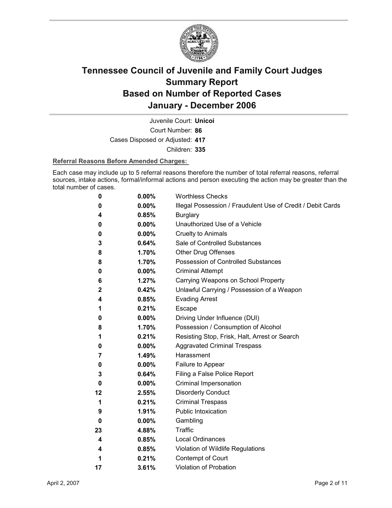

Court Number: **86** Juvenile Court: **Unicoi** Cases Disposed or Adjusted: **417** Children: **335**

### **Referral Reasons Before Amended Charges:**

Each case may include up to 5 referral reasons therefore the number of total referral reasons, referral sources, intake actions, formal/informal actions and person executing the action may be greater than the total number of cases.

| 0              | 0.00%    | <b>Worthless Checks</b>                                     |
|----------------|----------|-------------------------------------------------------------|
| 0              | 0.00%    | Illegal Possession / Fraudulent Use of Credit / Debit Cards |
| 4              | 0.85%    | <b>Burglary</b>                                             |
| 0              | 0.00%    | Unauthorized Use of a Vehicle                               |
| 0              | 0.00%    | <b>Cruelty to Animals</b>                                   |
| 3              | 0.64%    | Sale of Controlled Substances                               |
| 8              | 1.70%    | <b>Other Drug Offenses</b>                                  |
| 8              | 1.70%    | Possession of Controlled Substances                         |
| 0              | 0.00%    | <b>Criminal Attempt</b>                                     |
| 6              | 1.27%    | Carrying Weapons on School Property                         |
| $\overline{2}$ | 0.42%    | Unlawful Carrying / Possession of a Weapon                  |
| 4              | 0.85%    | <b>Evading Arrest</b>                                       |
| 1              | 0.21%    | Escape                                                      |
| 0              | $0.00\%$ | Driving Under Influence (DUI)                               |
| 8              | 1.70%    | Possession / Consumption of Alcohol                         |
| 1              | 0.21%    | Resisting Stop, Frisk, Halt, Arrest or Search               |
| 0              | 0.00%    | <b>Aggravated Criminal Trespass</b>                         |
| 7              | 1.49%    | Harassment                                                  |
| 0              | 0.00%    | Failure to Appear                                           |
| 3              | 0.64%    | Filing a False Police Report                                |
| 0              | $0.00\%$ | Criminal Impersonation                                      |
| 12             | 2.55%    | <b>Disorderly Conduct</b>                                   |
| 1              | 0.21%    | <b>Criminal Trespass</b>                                    |
| 9              | 1.91%    | <b>Public Intoxication</b>                                  |
| 0              | $0.00\%$ | Gambling                                                    |
| 23             | 4.88%    | Traffic                                                     |
| 4              | 0.85%    | <b>Local Ordinances</b>                                     |
| 4              | 0.85%    | Violation of Wildlife Regulations                           |
| 1              | 0.21%    | Contempt of Court                                           |
| 17             | 3.61%    | <b>Violation of Probation</b>                               |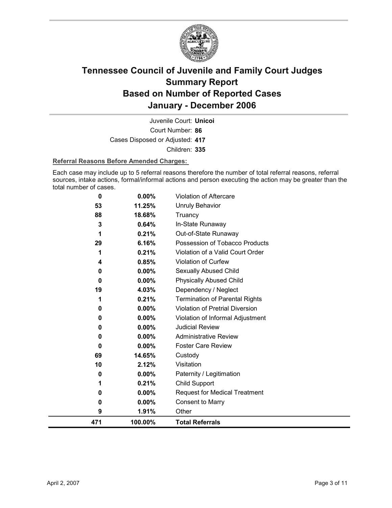

Court Number: **86** Juvenile Court: **Unicoi** Cases Disposed or Adjusted: **417** Children: **335**

### **Referral Reasons Before Amended Charges:**

Each case may include up to 5 referral reasons therefore the number of total referral reasons, referral sources, intake actions, formal/informal actions and person executing the action may be greater than the total number of cases.

| 471      | 100.00%        | <b>Total Referrals</b>                                 |
|----------|----------------|--------------------------------------------------------|
| 9        | 1.91%          | Other                                                  |
| 0        | $0.00\%$       | <b>Consent to Marry</b>                                |
| 0        | $0.00\%$       | <b>Request for Medical Treatment</b>                   |
| 1        | 0.21%          | <b>Child Support</b>                                   |
| 0        | 0.00%          | Paternity / Legitimation                               |
| 10       | 2.12%          | Visitation                                             |
| 69       | 14.65%         | Custody                                                |
| $\bf{0}$ | $0.00\%$       | <b>Foster Care Review</b>                              |
| 0        | 0.00%          | <b>Administrative Review</b>                           |
| 0        | 0.00%          | <b>Judicial Review</b>                                 |
| 0        | 0.00%          | Violation of Informal Adjustment                       |
| 0        | 0.00%          | Violation of Pretrial Diversion                        |
|          | 0.21%          | <b>Termination of Parental Rights</b>                  |
| 19       | 4.03%          | Dependency / Neglect                                   |
| $\bf{0}$ | $0.00\%$       | <b>Physically Abused Child</b>                         |
| 0        | 0.00%          | Sexually Abused Child                                  |
| 4        | 0.85%          | Violation of Curfew                                    |
| 1        | 0.21%          | Violation of a Valid Court Order                       |
| 1<br>29  | 6.16%          | Out-of-State Runaway<br>Possession of Tobacco Products |
| 3        | 0.64%<br>0.21% | In-State Runaway                                       |
| 88       | 18.68%         | Truancy                                                |
| 53       | 11.25%         | <b>Unruly Behavior</b>                                 |
| 0        | 0.00%          | <b>Violation of Aftercare</b>                          |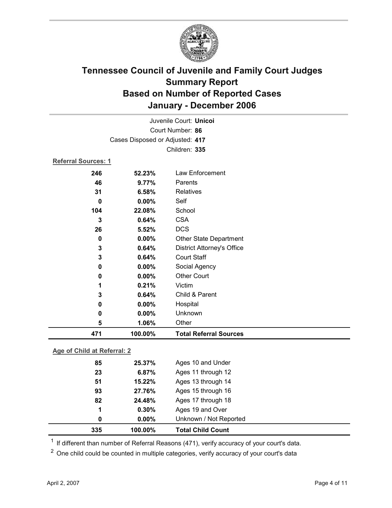

|                             |                                 | Juvenile Court: Unicoi            |
|-----------------------------|---------------------------------|-----------------------------------|
|                             |                                 | Court Number: 86                  |
|                             | Cases Disposed or Adjusted: 417 |                                   |
|                             |                                 | Children: 335                     |
| <b>Referral Sources: 1</b>  |                                 |                                   |
| 246                         | 52.23%                          | Law Enforcement                   |
| 46                          | 9.77%                           | Parents                           |
| 31                          | 6.58%                           | <b>Relatives</b>                  |
| $\mathbf 0$                 | 0.00%                           | Self                              |
| 104                         | 22.08%                          | School                            |
| 3                           | 0.64%                           | <b>CSA</b>                        |
| 26                          | 5.52%                           | <b>DCS</b>                        |
| $\mathbf 0$                 | 0.00%                           | Other State Department            |
| 3                           | 0.64%                           | <b>District Attorney's Office</b> |
| 3                           | 0.64%                           | <b>Court Staff</b>                |
| 0                           | 0.00%                           | Social Agency                     |
| 0                           | 0.00%                           | <b>Other Court</b>                |
| 1                           | 0.21%                           | Victim                            |
| 3                           | 0.64%                           | Child & Parent                    |
| 0                           | 0.00%                           | Hospital                          |
| $\mathbf 0$                 | 0.00%                           | Unknown                           |
| 5                           | 1.06%                           | Other                             |
| 471                         | 100.00%                         | <b>Total Referral Sources</b>     |
| <b>CALIFICATION</b> CONTROL |                                 |                                   |

### **Age of Child at Referral: 2**

| 335 | 100.00%  | <b>Total Child Count</b> |  |
|-----|----------|--------------------------|--|
| 0   | $0.00\%$ | Unknown / Not Reported   |  |
| 1   | 0.30%    | Ages 19 and Over         |  |
| 82  | 24.48%   | Ages 17 through 18       |  |
| 93  | 27.76%   | Ages 15 through 16       |  |
| 51  | 15.22%   | Ages 13 through 14       |  |
| 23  | 6.87%    | Ages 11 through 12       |  |
| 85  | 25.37%   | Ages 10 and Under        |  |
|     |          |                          |  |

 $1$  If different than number of Referral Reasons (471), verify accuracy of your court's data.

<sup>2</sup> One child could be counted in multiple categories, verify accuracy of your court's data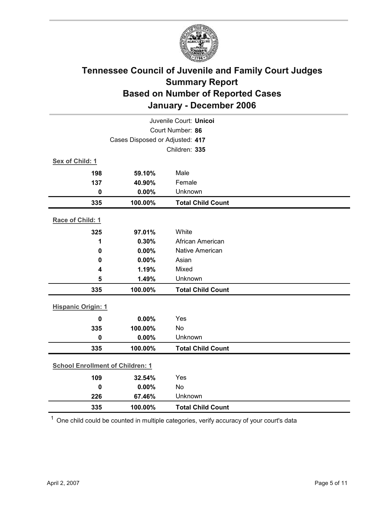

|                                         | Juvenile Court: Unicoi |                          |  |  |  |  |
|-----------------------------------------|------------------------|--------------------------|--|--|--|--|
| Court Number: 86                        |                        |                          |  |  |  |  |
| Cases Disposed or Adjusted: 417         |                        |                          |  |  |  |  |
|                                         | Children: 335          |                          |  |  |  |  |
| Sex of Child: 1                         |                        |                          |  |  |  |  |
| 198                                     | 59.10%                 | Male                     |  |  |  |  |
| 137                                     | 40.90%                 | Female                   |  |  |  |  |
| $\mathbf 0$                             | 0.00%                  | Unknown                  |  |  |  |  |
| 335                                     | 100.00%                | <b>Total Child Count</b> |  |  |  |  |
| Race of Child: 1                        |                        |                          |  |  |  |  |
| 325                                     | 97.01%                 | White                    |  |  |  |  |
| 1                                       | 0.30%                  | African American         |  |  |  |  |
| $\mathbf 0$                             | 0.00%                  | <b>Native American</b>   |  |  |  |  |
| 0                                       | 0.00%                  | Asian                    |  |  |  |  |
| 4                                       | 1.19%                  | Mixed                    |  |  |  |  |
| 5                                       | 1.49%                  | Unknown                  |  |  |  |  |
| 335                                     | 100.00%                | <b>Total Child Count</b> |  |  |  |  |
| <b>Hispanic Origin: 1</b>               |                        |                          |  |  |  |  |
| $\mathbf 0$                             | 0.00%                  | Yes                      |  |  |  |  |
| 335                                     | 100.00%                | No                       |  |  |  |  |
| $\mathbf 0$                             | 0.00%                  | Unknown                  |  |  |  |  |
| 335                                     | 100.00%                | <b>Total Child Count</b> |  |  |  |  |
| <b>School Enrollment of Children: 1</b> |                        |                          |  |  |  |  |
| 109                                     | 32.54%                 | Yes                      |  |  |  |  |
| $\mathbf 0$                             | 0.00%                  | No                       |  |  |  |  |
| 226                                     | 67.46%                 | Unknown                  |  |  |  |  |
| 335                                     | 100.00%                | <b>Total Child Count</b> |  |  |  |  |

 $1$  One child could be counted in multiple categories, verify accuracy of your court's data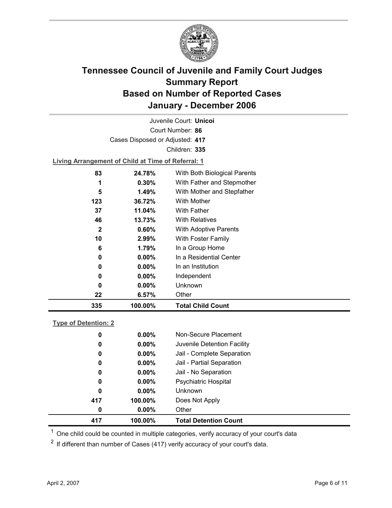

|                                                    |                                 | Juvenile Court: <b>Unicol</b> |  |  |  |  |  |
|----------------------------------------------------|---------------------------------|-------------------------------|--|--|--|--|--|
|                                                    | Court Number: 86                |                               |  |  |  |  |  |
|                                                    | Cases Disposed or Adjusted: 417 |                               |  |  |  |  |  |
|                                                    |                                 | Children: 335                 |  |  |  |  |  |
| Living Arrangement of Child at Time of Referral: 1 |                                 |                               |  |  |  |  |  |
| 83                                                 | 24.78%                          | With Both Biological Parents  |  |  |  |  |  |
| 1                                                  | $0.30\%$                        | With Father and Stepmother    |  |  |  |  |  |
| 5                                                  | 1.49%                           | With Mother and Stepfather    |  |  |  |  |  |
| 123                                                | 36.72%                          | <b>With Mother</b>            |  |  |  |  |  |

| 335         | 100.00%  | <b>Total Child Count</b>     |
|-------------|----------|------------------------------|
| 22          | 6.57%    | Other                        |
| 0           | $0.00\%$ | Unknown                      |
| 0           | $0.00\%$ | Independent                  |
| 0           | $0.00\%$ | In an Institution            |
| 0           | $0.00\%$ | In a Residential Center      |
| 6           | 1.79%    | In a Group Home              |
| 10          | 2.99%    | With Foster Family           |
| $\mathbf 2$ | 0.60%    | <b>With Adoptive Parents</b> |
| 46          | 13.73%   | <b>With Relatives</b>        |
| 37          | 11.04%   | With Father                  |

### **Type of Detention: 2**

| 417 | 100.00%  | <b>Total Detention Count</b> |
|-----|----------|------------------------------|
| 0   | $0.00\%$ | Other                        |
| 417 | 100.00%  | Does Not Apply               |
| 0   | $0.00\%$ | Unknown                      |
| 0   | $0.00\%$ | Psychiatric Hospital         |
| 0   | $0.00\%$ | Jail - No Separation         |
| 0   | $0.00\%$ | Jail - Partial Separation    |
| 0   | $0.00\%$ | Jail - Complete Separation   |
| 0   | $0.00\%$ | Juvenile Detention Facility  |
| 0   | $0.00\%$ | Non-Secure Placement         |
|     |          |                              |

 $<sup>1</sup>$  One child could be counted in multiple categories, verify accuracy of your court's data</sup>

 $2$  If different than number of Cases (417) verify accuracy of your court's data.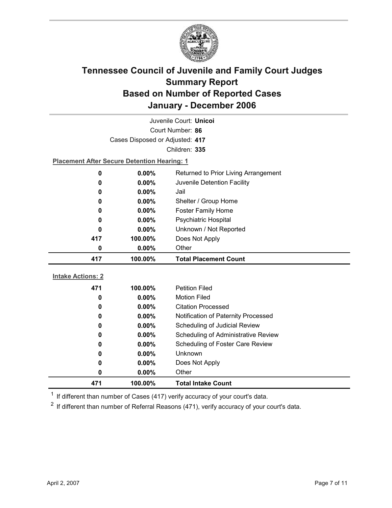

| Juvenile Court: Unicoi                             |                                 |                                      |  |  |  |  |
|----------------------------------------------------|---------------------------------|--------------------------------------|--|--|--|--|
| Court Number: 86                                   |                                 |                                      |  |  |  |  |
|                                                    | Cases Disposed or Adjusted: 417 |                                      |  |  |  |  |
|                                                    |                                 | Children: 335                        |  |  |  |  |
| <b>Placement After Secure Detention Hearing: 1</b> |                                 |                                      |  |  |  |  |
| 0                                                  | $0.00\%$                        | Returned to Prior Living Arrangement |  |  |  |  |
| 0                                                  | 0.00%                           | Juvenile Detention Facility          |  |  |  |  |
| 0                                                  | 0.00%<br>Jail                   |                                      |  |  |  |  |
| $0.00\%$<br>Shelter / Group Home<br>0              |                                 |                                      |  |  |  |  |
| 0                                                  | 0.00%                           | <b>Foster Family Home</b>            |  |  |  |  |
| 0                                                  | 0.00%                           | <b>Psychiatric Hospital</b>          |  |  |  |  |
| 0                                                  | 0.00%                           | Unknown / Not Reported               |  |  |  |  |
| 417                                                | 100.00%                         | Does Not Apply                       |  |  |  |  |
| 0                                                  | 0.00%                           | Other                                |  |  |  |  |
| 417                                                | 100.00%                         | <b>Total Placement Count</b>         |  |  |  |  |
| <b>Intake Actions: 2</b>                           |                                 |                                      |  |  |  |  |
| 471                                                |                                 |                                      |  |  |  |  |
| 0                                                  |                                 |                                      |  |  |  |  |
|                                                    | 100.00%                         | <b>Petition Filed</b>                |  |  |  |  |
|                                                    | 0.00%                           | <b>Motion Filed</b>                  |  |  |  |  |
| 0                                                  | $0.00\%$                        | <b>Citation Processed</b>            |  |  |  |  |
| 0                                                  | 0.00%                           | Notification of Paternity Processed  |  |  |  |  |
| 0                                                  | 0.00%                           | Scheduling of Judicial Review        |  |  |  |  |
| 0                                                  | $0.00\%$                        | Scheduling of Administrative Review  |  |  |  |  |
| 0                                                  | 0.00%                           | Scheduling of Foster Care Review     |  |  |  |  |
| 0                                                  | $0.00\%$                        | Unknown                              |  |  |  |  |
| 0<br>0                                             | 0.00%<br>0.00%                  | Does Not Apply<br>Other              |  |  |  |  |

 $1$  If different than number of Cases (417) verify accuracy of your court's data.

 $2$  If different than number of Referral Reasons (471), verify accuracy of your court's data.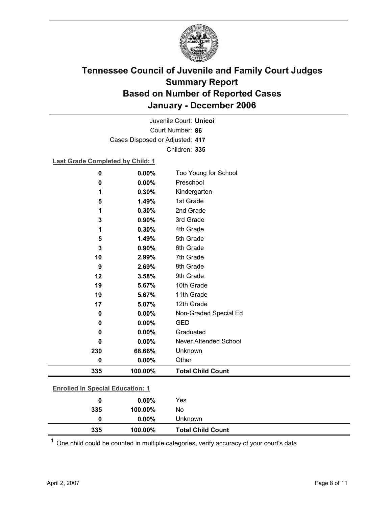

Court Number: **86** Juvenile Court: **Unicoi** Cases Disposed or Adjusted: **417** Children: **335**

### **Last Grade Completed by Child: 1**

| 0                                       | 0.00%   | Too Young for School        |
|-----------------------------------------|---------|-----------------------------|
| 0                                       | 0.00%   | Preschool                   |
| 1                                       | 0.30%   | Kindergarten                |
| 5                                       | 1.49%   | 1st Grade                   |
| 1                                       | 0.30%   | 2nd Grade                   |
| 3                                       | 0.90%   | 3rd Grade                   |
| 1                                       | 0.30%   | 4th Grade                   |
| 5                                       | 1.49%   | 5th Grade                   |
| 3                                       | 0.90%   | 6th Grade                   |
| 10                                      | 2.99%   | 7th Grade                   |
| 9                                       | 2.69%   | 8th Grade                   |
| 12                                      | 3.58%   | 9th Grade                   |
| 19                                      | 5.67%   | 10th Grade                  |
| 19                                      | 5.67%   | 11th Grade                  |
| 17                                      | 5.07%   | 12th Grade                  |
| 0                                       | 0.00%   | Non-Graded Special Ed       |
| 0                                       | 0.00%   | <b>GED</b>                  |
| 0                                       | 0.00%   | Graduated                   |
| 0                                       | 0.00%   | Never Attended School       |
| 230                                     | 68.66%  | Unknown                     |
| 0                                       | 0.00%   | Other                       |
| 335                                     | 100.00% | <b>Total Child Count</b>    |
| <b>Enrolled in Special Education: 1</b> |         |                             |
| $\sqrt{2}$                              | 0.000/  | $\mathcal{L}_{\mathcal{L}}$ |

| 0<br>335 | $0.00\%$<br>100.00% | Unknown<br><b>Total Child Count</b> |  |
|----------|---------------------|-------------------------------------|--|
| 335      | 100.00%             | No                                  |  |
| 0        | $0.00\%$            | Yes                                 |  |
|          |                     |                                     |  |

 $1$  One child could be counted in multiple categories, verify accuracy of your court's data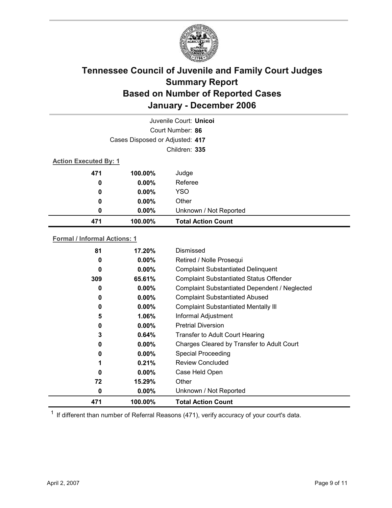

| Juvenile Court: Unicoi          |          |                           |  |  |
|---------------------------------|----------|---------------------------|--|--|
| Court Number: 86                |          |                           |  |  |
| Cases Disposed or Adjusted: 417 |          |                           |  |  |
| Children: 335                   |          |                           |  |  |
| <b>Action Executed By: 1</b>    |          |                           |  |  |
| 471                             | 100.00%  | Judge                     |  |  |
| $\boldsymbol{0}$                | $0.00\%$ | Referee                   |  |  |
| 0                               | $0.00\%$ | <b>YSO</b>                |  |  |
| 0                               | $0.00\%$ | Other                     |  |  |
| 0                               | $0.00\%$ | Unknown / Not Reported    |  |  |
| 471                             | 100.00%  | <b>Total Action Count</b> |  |  |

### **Formal / Informal Actions: 1**

| 81       | 17.20%   | Dismissed                                      |
|----------|----------|------------------------------------------------|
| 0        | $0.00\%$ | Retired / Nolle Prosequi                       |
| 0        | $0.00\%$ | <b>Complaint Substantiated Delinquent</b>      |
| 309      | 65.61%   | <b>Complaint Substantiated Status Offender</b> |
| 0        | $0.00\%$ | Complaint Substantiated Dependent / Neglected  |
| 0        | $0.00\%$ | <b>Complaint Substantiated Abused</b>          |
| 0        | $0.00\%$ | <b>Complaint Substantiated Mentally III</b>    |
| 5        | $1.06\%$ | Informal Adjustment                            |
| 0        | $0.00\%$ | <b>Pretrial Diversion</b>                      |
| 3        | 0.64%    | <b>Transfer to Adult Court Hearing</b>         |
| 0        | $0.00\%$ | Charges Cleared by Transfer to Adult Court     |
| 0        | $0.00\%$ | <b>Special Proceeding</b>                      |
| 1        | 0.21%    | Review Concluded                               |
| $\Omega$ | $0.00\%$ | Case Held Open                                 |
| 72       | 15.29%   | Other                                          |
| 0        | $0.00\%$ | Unknown / Not Reported                         |
| 471      | 100.00%  | <b>Total Action Count</b>                      |

 $1$  If different than number of Referral Reasons (471), verify accuracy of your court's data.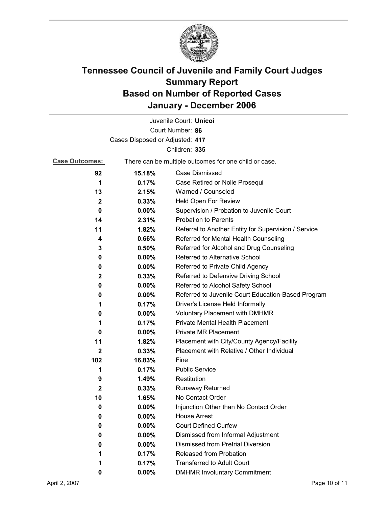

|                                 |                                                       | Juvenile Court: Unicoi                               |  |  |
|---------------------------------|-------------------------------------------------------|------------------------------------------------------|--|--|
|                                 |                                                       | Court Number: 86                                     |  |  |
| Cases Disposed or Adjusted: 417 |                                                       |                                                      |  |  |
|                                 |                                                       | Children: 335                                        |  |  |
| <b>Case Outcomes:</b>           | There can be multiple outcomes for one child or case. |                                                      |  |  |
| 92                              | 15.18%                                                | Case Dismissed                                       |  |  |
| 1                               | 0.17%                                                 | Case Retired or Nolle Prosequi                       |  |  |
| 13                              | 2.15%                                                 | Warned / Counseled                                   |  |  |
| $\mathbf{2}$                    | 0.33%                                                 | Held Open For Review                                 |  |  |
| 0                               | $0.00\%$                                              | Supervision / Probation to Juvenile Court            |  |  |
| 14                              | 2.31%                                                 | <b>Probation to Parents</b>                          |  |  |
| 11                              | 1.82%                                                 | Referral to Another Entity for Supervision / Service |  |  |
| 4                               | 0.66%                                                 | Referred for Mental Health Counseling                |  |  |
| 3                               | 0.50%                                                 | Referred for Alcohol and Drug Counseling             |  |  |
| 0                               | $0.00\%$                                              | Referred to Alternative School                       |  |  |
| 0                               | $0.00\%$                                              | Referred to Private Child Agency                     |  |  |
| $\mathbf{2}$                    | 0.33%                                                 | Referred to Defensive Driving School                 |  |  |
| 0                               | $0.00\%$                                              | Referred to Alcohol Safety School                    |  |  |
| 0                               | $0.00\%$                                              | Referred to Juvenile Court Education-Based Program   |  |  |
| 1                               | 0.17%                                                 | Driver's License Held Informally                     |  |  |
| 0                               | $0.00\%$                                              | <b>Voluntary Placement with DMHMR</b>                |  |  |
| 1                               | 0.17%                                                 | Private Mental Health Placement                      |  |  |
| 0                               | $0.00\%$                                              | <b>Private MR Placement</b>                          |  |  |
| 11                              | 1.82%                                                 | Placement with City/County Agency/Facility           |  |  |
| $\mathbf{2}$                    | 0.33%                                                 | Placement with Relative / Other Individual           |  |  |
| 102                             | 16.83%                                                | Fine                                                 |  |  |
| 1                               | 0.17%                                                 | <b>Public Service</b>                                |  |  |
| 9                               | 1.49%                                                 | Restitution                                          |  |  |
| 2                               | 0.33%                                                 | <b>Runaway Returned</b>                              |  |  |
| 10                              | 1.65%                                                 | No Contact Order                                     |  |  |
| 0                               | 0.00%                                                 | Injunction Other than No Contact Order               |  |  |
| 0                               | 0.00%                                                 | <b>House Arrest</b>                                  |  |  |
| 0                               | $0.00\%$                                              | <b>Court Defined Curfew</b>                          |  |  |
| 0                               | 0.00%                                                 | Dismissed from Informal Adjustment                   |  |  |
| 0                               | 0.00%                                                 | <b>Dismissed from Pretrial Diversion</b>             |  |  |
| 1                               | 0.17%                                                 | <b>Released from Probation</b>                       |  |  |
| 1                               | 0.17%                                                 | <b>Transferred to Adult Court</b>                    |  |  |
| 0                               | $0.00\%$                                              | <b>DMHMR Involuntary Commitment</b>                  |  |  |